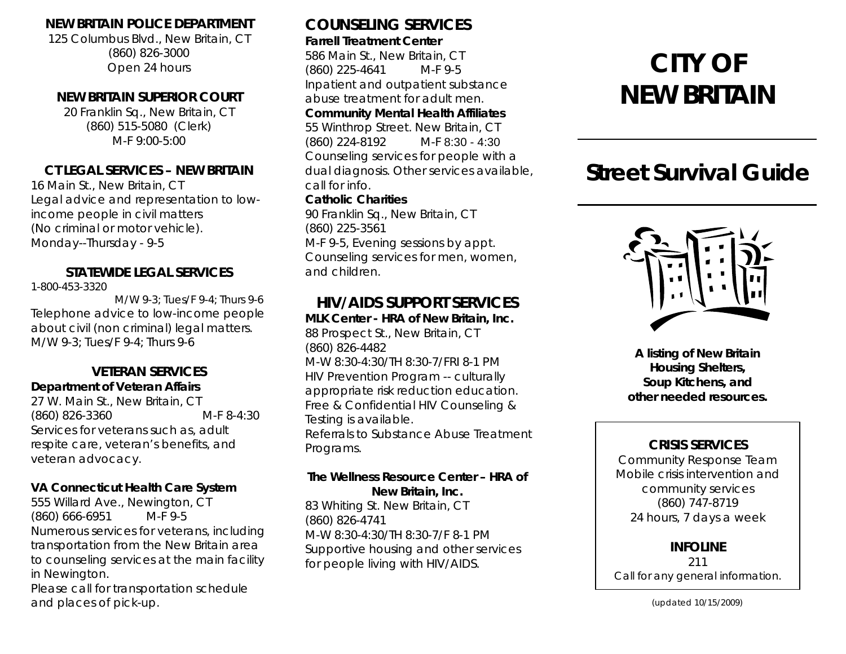#### **NEW BRITAIN POLICE DEPARTMENT**

125 Columbus Blvd., New Britain, CT (860) 826-3000 Open 24 hours

#### **NEW BRITAIN SUPERIOR COURT**

20 Franklin Sq., New Britain, CT (860) 515-5080 (Clerk) M-F 9:00-5:00

#### **CT LEGAL SERVICES – NEW BRITAIN**

16 Main St., New Britain, CT Legal advice and representation to lowincome people in civil matters (No criminal or motor vehicle). Monday--Thursday - 9-5

#### **STATEWIDE LEGAL SERVICES**

1-800-453-3320

M/W 9-3; Tues/F 9-4; Thurs 9-6 Telephone advice to low-income people about civil (non criminal) legal matters. M/W 9-3; Tues/F 9-4; Thurs 9-6

#### **VETERAN SERVICES Department of Veteran Affairs**

27 W. Main St., New Britain, CT (860) 826-3360 M-F 8-4:30 Services for veterans such as, adult respite care, veteran's benefits, and veteran advocacy.

## **VA Connecticut Health Care System**

555 Willard Ave., Newington, CT (860) 666-6951 M-F 9-5 Numerous services for veterans, including transportation from the New Britain area to counseling services at the main facility in Newington.

Please call for transportation schedule and places of pick-up.

## **COUNSELING SERVICES**

#### **Farrell Treatment Center**

586 Main St., New Britain, CT (860) 225-4641 M-F 9-5 Inpatient and outpatient substance abuse treatment for adult men. **Community Mental Health Affiliates**  55 Winthrop Street. New Britain, CT

(860) 224-8192 M-F 8:30 - 4:30 Counseling services for people with a dual diagnosis. Other services available, call for info. **Catholic Charities** 

90 Franklin Sq., New Britain, CT (860) 225-3561 M-F 9-5, Evening sessions by appt. Counseling services for men, women, and children.

## **HIV/AIDS SUPPORT SERVICES**

**MLK Center - HRA of New Britain, Inc.**  88 Prospect St., New Britain, CT (860) 826-4482 M-W 8:30-4:30/TH 8:30-7/FRI 8-1 PM HIV Prevention Program -- culturally appropriate risk reduction education. Free & Confidential HIV Counseling & Testing is available. Referrals to Substance Abuse Treatment Programs.

#### **The Wellness Resource Center – HRA of New Britain, Inc.**

83 Whiting St. New Britain, CT (860) 826-4741 M-W 8:30-4:30/TH 8:30-7/F 8-1 PM Supportive housing and other services for people living with HIV/AIDS.

# **CITY OF NEW BRITAIN**

## **Street Survival Guide**



**A listing of New Britain Housing Shelters, Soup Kitchens, and other needed resources.** 

### **CRISIS SERVICES**

Community Response Team Mobile crisis intervention and community services (860) 747-8719 24 hours, 7 days a week

#### **INFOLINE**

211 Call for any general information.

(updated 10/15/2009)